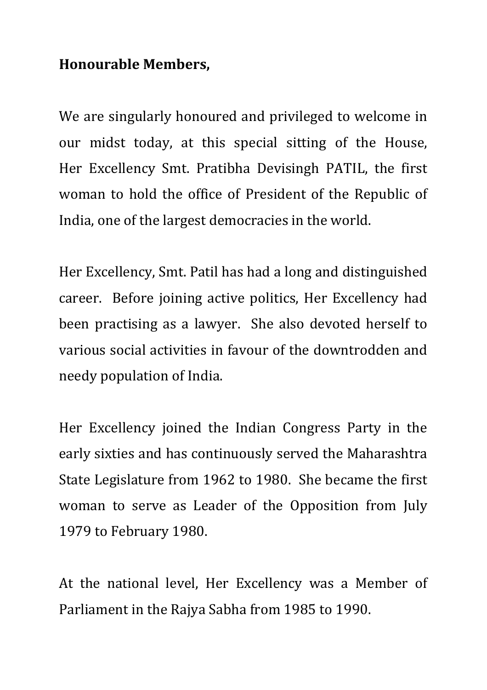## **Honourable Members,**

We are singularly honoured and privileged to welcome in our midst today, at this special sitting of the House, Her Excellency Smt. Pratibha Devisingh PATIL, the first woman to hold the office of President of the Republic of India, one of the largest democracies in the world.

Her Excellency, Smt. Patil has had a long and distinguished career. Before joining active politics, Her Excellency had been practising as a lawyer. She also devoted herself to various social activities in favour of the downtrodden and needy population of India.

Her Excellency joined the Indian Congress Party in the early sixties and has continuously served the Maharashtra State Legislature from 1962 to 1980. She became the first woman to serve as Leader of the Opposition from July 1979 to February 1980.

At the national level, Her Excellency was a Member of Parliament in the Rajya Sabha from 1985 to 1990.